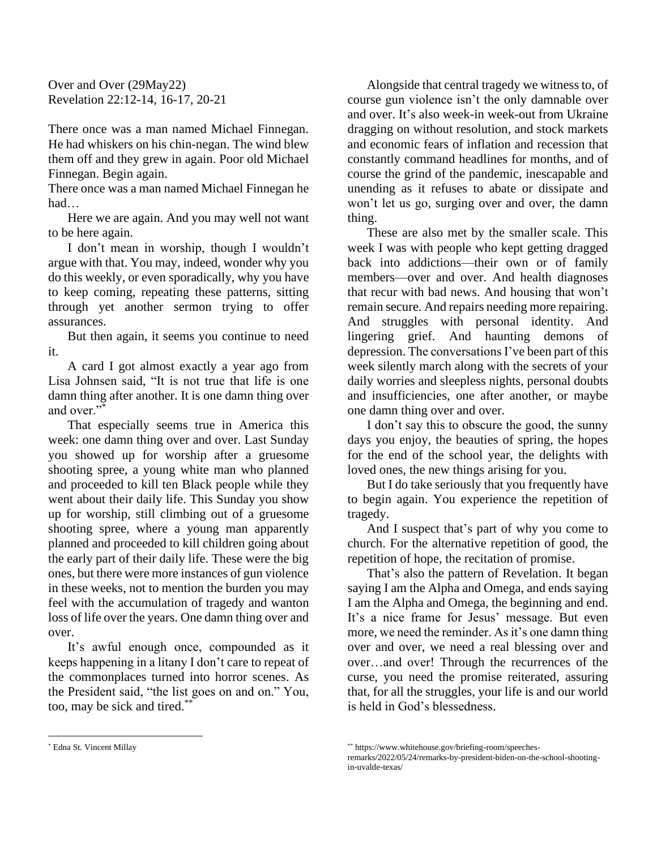Over and Over (29May22) Revelation 22:12-14, 16-17, 20-21

There once was a man named Michael Finnegan. He had whiskers on his chin-negan. The wind blew them off and they grew in again. Poor old Michael Finnegan. Begin again.

There once was a man named Michael Finnegan he had…

Here we are again. And you may well not want to be here again.

I don't mean in worship, though I wouldn't argue with that. You may, indeed, wonder why you do this weekly, or even sporadically, why you have to keep coming, repeating these patterns, sitting through yet another sermon trying to offer assurances.

But then again, it seems you continue to need it.

A card I got almost exactly a year ago from Lisa Johnsen said, "It is not true that life is one damn thing after another. It is one damn thing over and over."\*

That especially seems true in America this week: one damn thing over and over. Last Sunday you showed up for worship after a gruesome shooting spree, a young white man who planned and proceeded to kill ten Black people while they went about their daily life. This Sunday you show up for worship, still climbing out of a gruesome shooting spree, where a young man apparently planned and proceeded to kill children going about the early part of their daily life. These were the big ones, but there were more instances of gun violence in these weeks, not to mention the burden you may feel with the accumulation of tragedy and wanton loss of life over the years. One damn thing over and over.

It's awful enough once, compounded as it keeps happening in a litany I don't care to repeat of the commonplaces turned into horror scenes. As the President said, "the list goes on and on." You, too, may be sick and tired.\*\*

Alongside that central tragedy we witness to, of course gun violence isn't the only damnable over and over. It's also week-in week-out from Ukraine dragging on without resolution, and stock markets and economic fears of inflation and recession that constantly command headlines for months, and of course the grind of the pandemic, inescapable and unending as it refuses to abate or dissipate and won't let us go, surging over and over, the damn thing.

These are also met by the smaller scale. This week I was with people who kept getting dragged back into addictions—their own or of family members—over and over. And health diagnoses that recur with bad news. And housing that won't remain secure. And repairs needing more repairing. And struggles with personal identity. And lingering grief. And haunting demons of depression. The conversations I've been part of this week silently march along with the secrets of your daily worries and sleepless nights, personal doubts and insufficiencies, one after another, or maybe one damn thing over and over.

I don't say this to obscure the good, the sunny days you enjoy, the beauties of spring, the hopes for the end of the school year, the delights with loved ones, the new things arising for you.

But I do take seriously that you frequently have to begin again. You experience the repetition of tragedy.

And I suspect that's part of why you come to church. For the alternative repetition of good, the repetition of hope, the recitation of promise.

That's also the pattern of Revelation. It began saying I am the Alpha and Omega, and ends saying I am the Alpha and Omega, the beginning and end. It's a nice frame for Jesus' message. But even more, we need the reminder. As it's one damn thing over and over, we need a real blessing over and over…and over! Through the recurrences of the curse, you need the promise reiterated, assuring that, for all the struggles, your life is and our world is held in God's blessedness.

<sup>\*\*</sup> https://www.whitehouse.gov/briefing-room/speeches-

remarks/2022/05/24/remarks-by-president-biden-on-the-school-shootingin-uvalde-texas/

<sup>\*</sup> Edna St. Vincent Millay